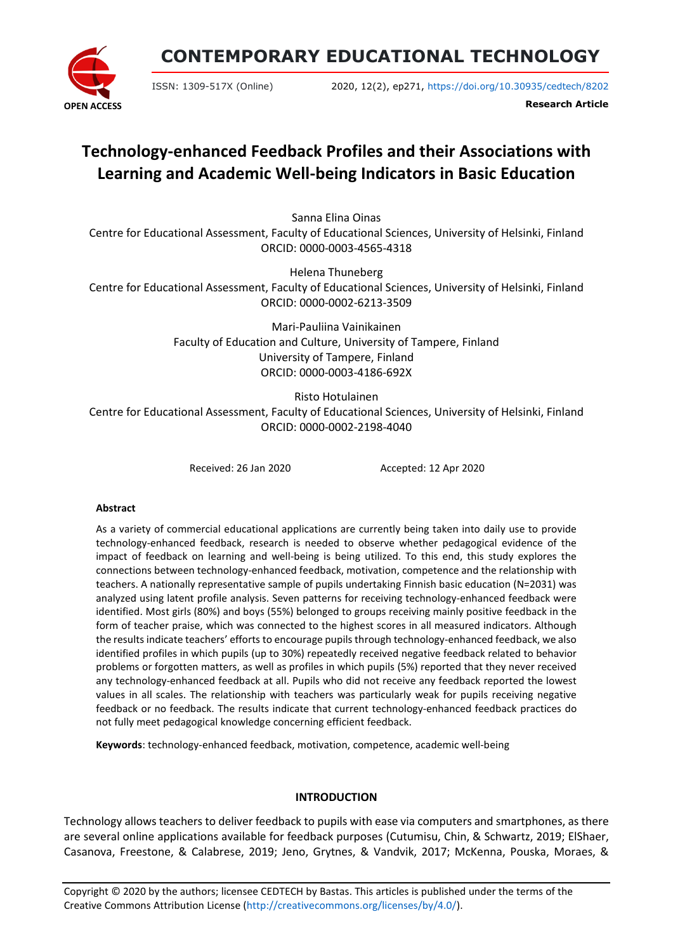

# **CONTEMPORARY EDUCATIONAL TECHNOLOGY**

ISSN: 1309-517X (Online) 2020, 12(2), ep271, <https://doi.org/10.30935/cedtech/8202>

**Research Article**

# **Technology-enhanced Feedback Profiles and their Associations with Learning and Academic Well-being Indicators in Basic Education**

Sanna Elina Oinas

Centre for Educational Assessment, Faculty of Educational Sciences, University of Helsinki, Finland ORCID: 0000-0003-4565-4318

Helena Thuneberg

Centre for Educational Assessment, Faculty of Educational Sciences, University of Helsinki, Finland ORCID: 0000-0002-6213-3509

> Mari-Pauliina Vainikainen Faculty of Education and Culture, University of Tampere, Finland University of Tampere, Finland ORCID: 0000-0003-4186-692X

Risto Hotulainen Centre for Educational Assessment, Faculty of Educational Sciences, University of Helsinki, Finland ORCID: 0000-0002-2198-4040

Received: 26 Jan 2020 Accepted: 12 Apr 2020

### **Abstract**

As a variety of commercial educational applications are currently being taken into daily use to provide technology-enhanced feedback, research is needed to observe whether pedagogical evidence of the impact of feedback on learning and well-being is being utilized. To this end, this study explores the connections between technology-enhanced feedback, motivation, competence and the relationship with teachers. A nationally representative sample of pupils undertaking Finnish basic education (N=2031) was analyzed using latent profile analysis. Seven patterns for receiving technology-enhanced feedback were identified. Most girls (80%) and boys (55%) belonged to groups receiving mainly positive feedback in the form of teacher praise, which was connected to the highest scores in all measured indicators. Although the results indicate teachers' efforts to encourage pupils through technology-enhanced feedback, we also identified profiles in which pupils (up to 30%) repeatedly received negative feedback related to behavior problems or forgotten matters, as well as profiles in which pupils (5%) reported that they never received any technology-enhanced feedback at all. Pupils who did not receive any feedback reported the lowest values in all scales. The relationship with teachers was particularly weak for pupils receiving negative feedback or no feedback. The results indicate that current technology-enhanced feedback practices do not fully meet pedagogical knowledge concerning efficient feedback.

**Keywords**: technology-enhanced feedback, motivation, competence, academic well-being

# **INTRODUCTION**

Technology allows teachers to deliver feedback to pupils with ease via computers and smartphones, as there are several online applications available for feedback purposes (Cutumisu, Chin, & Schwartz, 2019; ElShaer, Casanova, Freestone, & Calabrese, 2019; Jeno, Grytnes, & Vandvik, 2017; McKenna, Pouska, Moraes, &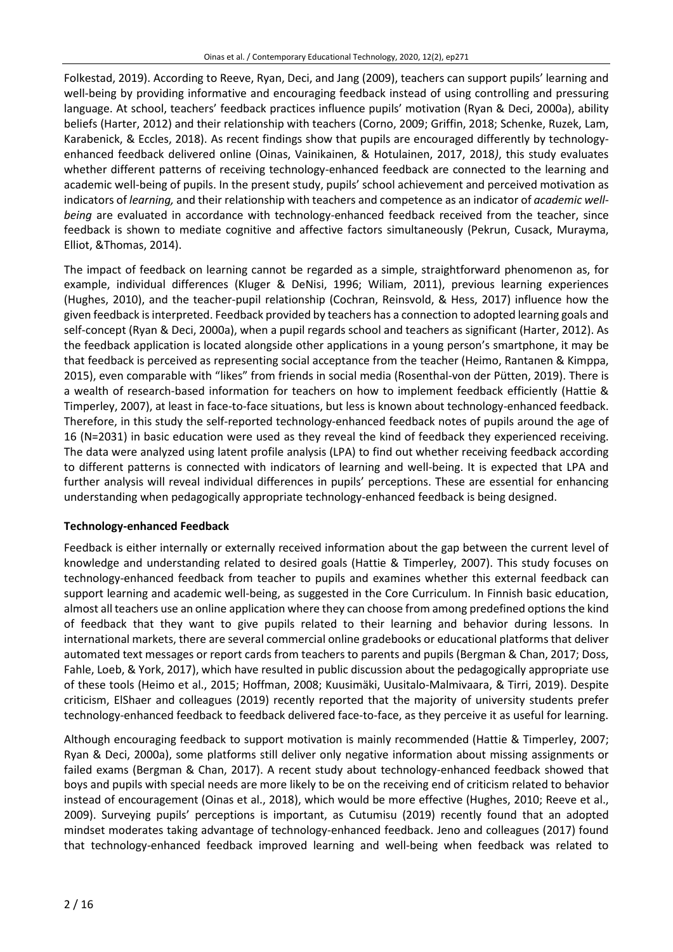Folkestad, 2019). According to Reeve, Ryan, Deci, and Jang (2009), teachers can support pupils' learning and well-being by providing informative and encouraging feedback instead of using controlling and pressuring language. At school, teachers' feedback practices influence pupils' motivation (Ryan & Deci, 2000a), ability beliefs (Harter, 2012) and their relationship with teachers (Corno, 2009; Griffin, 2018; Schenke, Ruzek, Lam, Karabenick, & Eccles, 2018). As recent findings show that pupils are encouraged differently by technologyenhanced feedback delivered online (Oinas, Vainikainen, & Hotulainen, 2017, 2018*)*, this study evaluates whether different patterns of receiving technology-enhanced feedback are connected to the learning and academic well-being of pupils. In the present study, pupils' school achievement and perceived motivation as indicators of *learning,* and their relationship with teachers and competence as an indicator of *academic wellbeing* are evaluated in accordance with technology-enhanced feedback received from the teacher, since feedback is shown to mediate cognitive and affective factors simultaneously (Pekrun, Cusack, Murayma, Elliot, &Thomas, 2014).

The impact of feedback on learning cannot be regarded as a simple, straightforward phenomenon as, for example, individual differences (Kluger & DeNisi, 1996; Wiliam, 2011), previous learning experiences (Hughes, 2010), and the teacher-pupil relationship (Cochran, Reinsvold, & Hess, 2017) influence how the given feedback is interpreted. Feedback provided by teachers has a connection to adopted learning goals and self-concept (Ryan & Deci, 2000a), when a pupil regards school and teachers as significant (Harter, 2012). As the feedback application is located alongside other applications in a young person's smartphone, it may be that feedback is perceived as representing social acceptance from the teacher (Heimo, Rantanen & Kimppa, 2015), even comparable with "likes" from friends in social media (Rosenthal-von der Pütten, 2019). There is a wealth of research-based information for teachers on how to implement feedback efficiently (Hattie & Timperley, 2007), at least in face-to-face situations, but less is known about technology-enhanced feedback. Therefore, in this study the self-reported technology-enhanced feedback notes of pupils around the age of 16 (N=2031) in basic education were used as they reveal the kind of feedback they experienced receiving. The data were analyzed using latent profile analysis (LPA) to find out whether receiving feedback according to different patterns is connected with indicators of learning and well-being. It is expected that LPA and further analysis will reveal individual differences in pupils' perceptions. These are essential for enhancing understanding when pedagogically appropriate technology-enhanced feedback is being designed.

# **Technology-enhanced Feedback**

Feedback is either internally or externally received information about the gap between the current level of knowledge and understanding related to desired goals (Hattie & Timperley, 2007). This study focuses on technology-enhanced feedback from teacher to pupils and examines whether this external feedback can support learning and academic well-being, as suggested in the Core Curriculum. In Finnish basic education, almost all teachers use an online application where they can choose from among predefined optionsthe kind of feedback that they want to give pupils related to their learning and behavior during lessons. In international markets, there are several commercial online gradebooks or educational platforms that deliver automated text messages or report cards from teachers to parents and pupils (Bergman & Chan, 2017; Doss, Fahle, Loeb, & York, 2017), which have resulted in public discussion about the pedagogically appropriate use of these tools (Heimo et al., 2015; Hoffman, 2008; Kuusimäki, Uusitalo-Malmivaara, & Tirri, 2019). Despite criticism, ElShaer and colleagues (2019) recently reported that the majority of university students prefer technology-enhanced feedback to feedback delivered face-to-face, as they perceive it as useful for learning.

Although encouraging feedback to support motivation is mainly recommended (Hattie & Timperley, 2007; Ryan & Deci, 2000a), some platforms still deliver only negative information about missing assignments or failed exams (Bergman & Chan, 2017). A recent study about technology-enhanced feedback showed that boys and pupils with special needs are more likely to be on the receiving end of criticism related to behavior instead of encouragement (Oinas et al., 2018), which would be more effective (Hughes, 2010; Reeve et al., 2009). Surveying pupils' perceptions is important, as Cutumisu (2019) recently found that an adopted mindset moderates taking advantage of technology-enhanced feedback. Jeno and colleagues (2017) found that technology-enhanced feedback improved learning and well-being when feedback was related to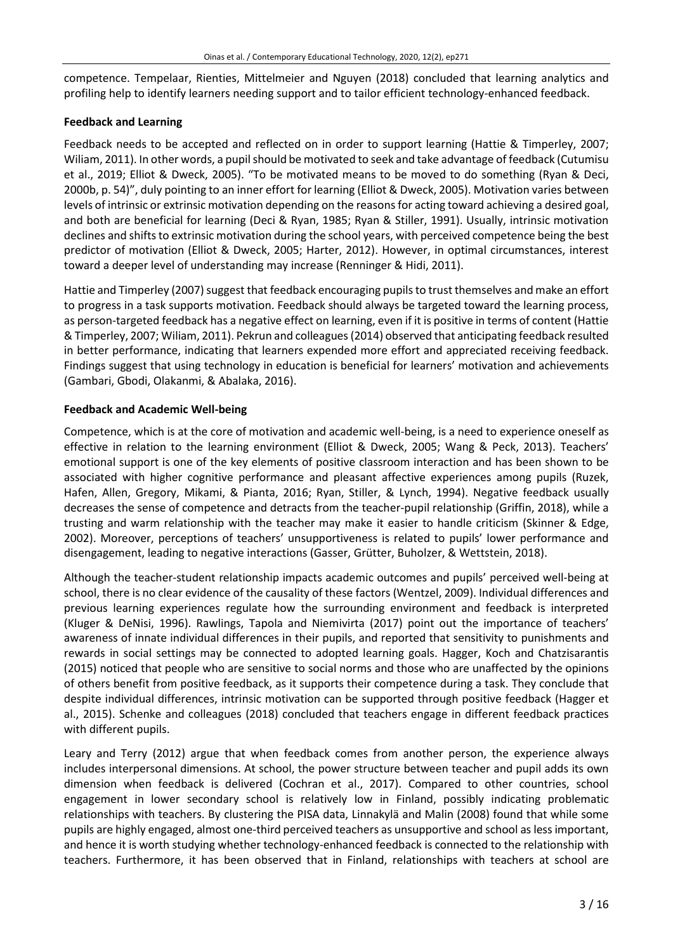competence. Tempelaar, Rienties, Mittelmeier and Nguyen (2018) concluded that learning analytics and profiling help to identify learners needing support and to tailor efficient technology-enhanced feedback.

# **Feedback and Learning**

Feedback needs to be accepted and reflected on in order to support learning (Hattie & Timperley, 2007; Wiliam, 2011). In other words, a pupil should be motivated to seek and take advantage of feedback (Cutumisu et al., 2019; Elliot & Dweck, 2005). "To be motivated means to be moved to do something (Ryan & Deci, 2000b, p. 54)", duly pointing to an inner effort for learning (Elliot & Dweck, 2005). Motivation varies between levels of intrinsic or extrinsic motivation depending on the reasonsfor acting toward achieving a desired goal, and both are beneficial for learning (Deci & Ryan, 1985; Ryan & Stiller, 1991). Usually, intrinsic motivation declines and shifts to extrinsic motivation during the school years, with perceived competence being the best predictor of motivation (Elliot & Dweck, 2005; Harter, 2012). However, in optimal circumstances, interest toward a deeper level of understanding may increase (Renninger & Hidi, 2011).

Hattie and Timperley (2007) suggest that feedback encouraging pupils to trust themselves and make an effort to progress in a task supports motivation. Feedback should always be targeted toward the learning process, as person-targeted feedback has a negative effect on learning, even if it is positive in terms of content (Hattie & Timperley, 2007; Wiliam, 2011). Pekrun and colleagues(2014) observed that anticipating feedback resulted in better performance, indicating that learners expended more effort and appreciated receiving feedback. Findings suggest that using technology in education is beneficial for learners' motivation and achievements (Gambari, Gbodi, Olakanmi, & Abalaka, 2016).

# **Feedback and Academic Well-being**

Competence, which is at the core of motivation and academic well-being, is a need to experience oneself as effective in relation to the learning environment (Elliot & Dweck, 2005; Wang & Peck, 2013). Teachers' emotional support is one of the key elements of positive classroom interaction and has been shown to be associated with higher cognitive performance and pleasant affective experiences among pupils (Ruzek, Hafen, Allen, Gregory, Mikami, & Pianta, 2016; Ryan, Stiller, & Lynch, 1994). Negative feedback usually decreases the sense of competence and detracts from the teacher-pupil relationship (Griffin, 2018), while a trusting and warm relationship with the teacher may make it easier to handle criticism (Skinner & Edge, 2002). Moreover, perceptions of teachers' unsupportiveness is related to pupils' lower performance and disengagement, leading to negative interactions (Gasser, Grütter, Buholzer, & Wettstein, 2018).

Although the teacher-student relationship impacts academic outcomes and pupils' perceived well-being at school, there is no clear evidence of the causality of these factors (Wentzel, 2009). Individual differences and previous learning experiences regulate how the surrounding environment and feedback is interpreted (Kluger & DeNisi, 1996). Rawlings, Tapola and Niemivirta (2017) point out the importance of teachers' awareness of innate individual differences in their pupils, and reported that sensitivity to punishments and rewards in social settings may be connected to adopted learning goals. Hagger, Koch and Chatzisarantis (2015) noticed that people who are sensitive to social norms and those who are unaffected by the opinions of others benefit from positive feedback, as it supports their competence during a task. They conclude that despite individual differences, intrinsic motivation can be supported through positive feedback (Hagger et al., 2015). Schenke and colleagues (2018) concluded that teachers engage in different feedback practices with different pupils.

Leary and Terry (2012) argue that when feedback comes from another person, the experience always includes interpersonal dimensions. At school, the power structure between teacher and pupil adds its own dimension when feedback is delivered (Cochran et al., 2017). Compared to other countries, school engagement in lower secondary school is relatively low in Finland, possibly indicating problematic relationships with teachers. By clustering the PISA data, Linnakylä and Malin (2008) found that while some pupils are highly engaged, almost one-third perceived teachers as unsupportive and school as less important, and hence it is worth studying whether technology-enhanced feedback is connected to the relationship with teachers. Furthermore, it has been observed that in Finland, relationships with teachers at school are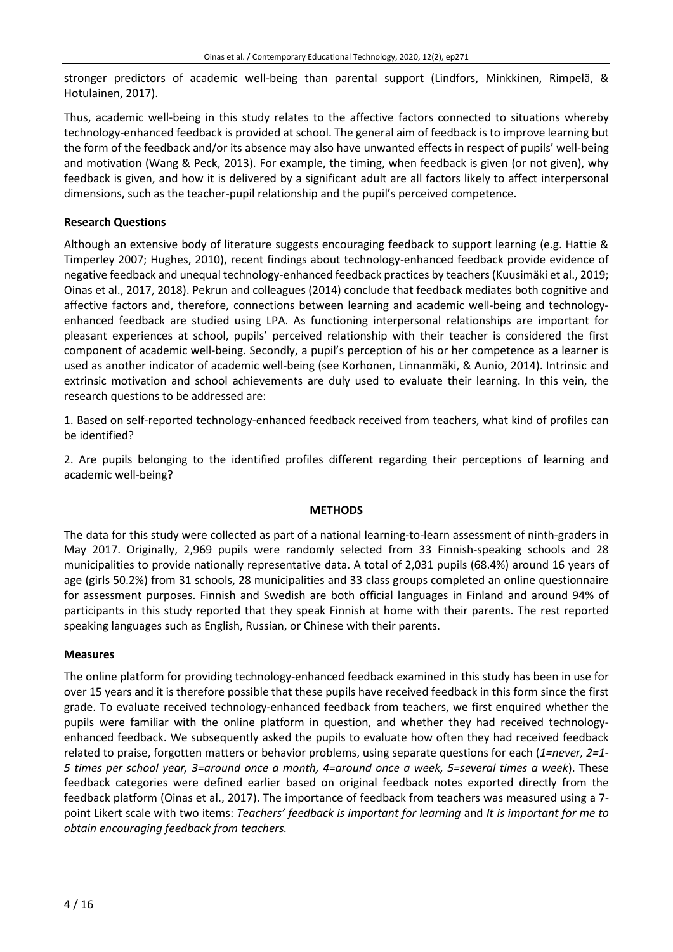stronger predictors of academic well-being than parental support (Lindfors, Minkkinen, Rimpelä, & Hotulainen, 2017).

Thus, academic well-being in this study relates to the affective factors connected to situations whereby technology-enhanced feedback is provided at school. The general aim of feedback is to improve learning but the form of the feedback and/or its absence may also have unwanted effects in respect of pupils' well-being and motivation (Wang & Peck, 2013). For example, the timing, when feedback is given (or not given), why feedback is given, and how it is delivered by a significant adult are all factors likely to affect interpersonal dimensions, such as the teacher-pupil relationship and the pupil's perceived competence.

## **Research Questions**

Although an extensive body of literature suggests encouraging feedback to support learning (e.g. Hattie & Timperley 2007; Hughes, 2010), recent findings about technology-enhanced feedback provide evidence of negative feedback and unequal technology-enhanced feedback practices by teachers (Kuusimäki et al., 2019; Oinas et al., 2017, 2018). Pekrun and colleagues (2014) conclude that feedback mediates both cognitive and affective factors and, therefore, connections between learning and academic well-being and technologyenhanced feedback are studied using LPA. As functioning interpersonal relationships are important for pleasant experiences at school, pupils' perceived relationship with their teacher is considered the first component of academic well-being. Secondly, a pupil's perception of his or her competence as a learner is used as another indicator of academic well-being (see Korhonen, Linnanmäki, & Aunio, 2014). Intrinsic and extrinsic motivation and school achievements are duly used to evaluate their learning. In this vein, the research questions to be addressed are:

1. Based on self-reported technology-enhanced feedback received from teachers, what kind of profiles can be identified?

2. Are pupils belonging to the identified profiles different regarding their perceptions of learning and academic well-being?

### **METHODS**

The data for this study were collected as part of a national learning-to-learn assessment of ninth-graders in May 2017. Originally, 2,969 pupils were randomly selected from 33 Finnish-speaking schools and 28 municipalities to provide nationally representative data. A total of 2,031 pupils (68.4%) around 16 years of age (girls 50.2%) from 31 schools, 28 municipalities and 33 class groups completed an online questionnaire for assessment purposes. Finnish and Swedish are both official languages in Finland and around 94% of participants in this study reported that they speak Finnish at home with their parents. The rest reported speaking languages such as English, Russian, or Chinese with their parents.

### **Measures**

The online platform for providing technology-enhanced feedback examined in this study has been in use for over 15 years and it is therefore possible that these pupils have received feedback in this form since the first grade. To evaluate received technology-enhanced feedback from teachers, we first enquired whether the pupils were familiar with the online platform in question, and whether they had received technologyenhanced feedback. We subsequently asked the pupils to evaluate how often they had received feedback related to praise, forgotten matters or behavior problems, using separate questions for each (*1=never, 2=1- 5 times per school year, 3=around once a month, 4=around once a week, 5=several times a week*). These feedback categories were defined earlier based on original feedback notes exported directly from the feedback platform (Oinas et al., 2017). The importance of feedback from teachers was measured using a 7 point Likert scale with two items: *Teachers' feedback is important for learning* and *It is important for me to obtain encouraging feedback from teachers.*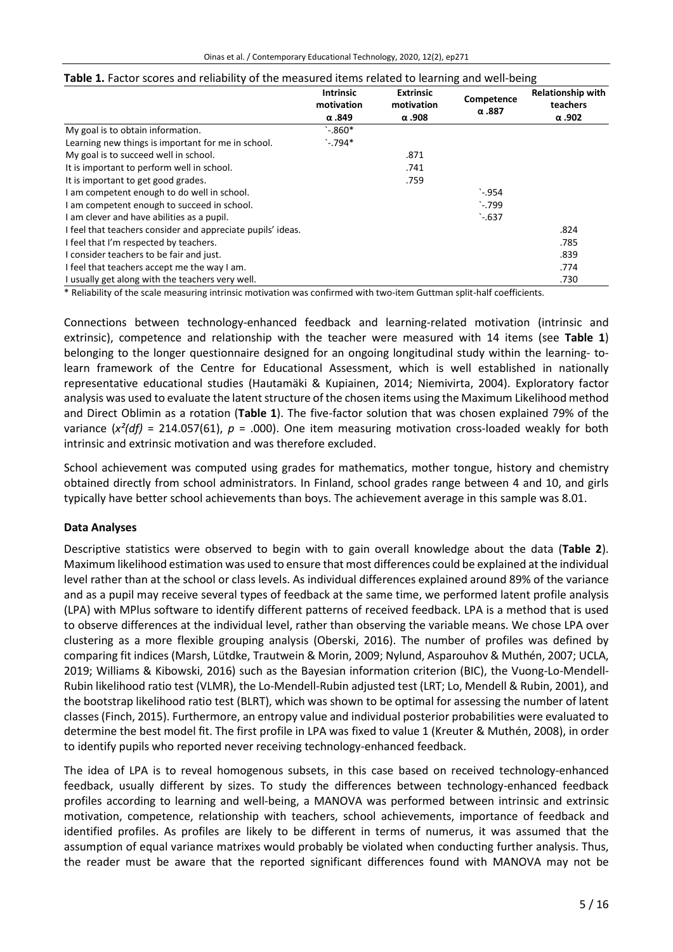|                                                             | <b>Intrinsic</b><br>motivation<br>$\alpha$ .849 | <b>Extrinsic</b><br>motivation<br>$\alpha$ .908 | Competence<br>$\alpha$ .887 | <b>Relationship with</b><br>teachers<br>$\alpha$ .902 |
|-------------------------------------------------------------|-------------------------------------------------|-------------------------------------------------|-----------------------------|-------------------------------------------------------|
| My goal is to obtain information.                           | $\degree$ -.860*                                |                                                 |                             |                                                       |
| Learning new things is important for me in school.          | $^{\circ}$ -.794*                               |                                                 |                             |                                                       |
| My goal is to succeed well in school.                       |                                                 | .871                                            |                             |                                                       |
| It is important to perform well in school.                  |                                                 | .741                                            |                             |                                                       |
| It is important to get good grades.                         |                                                 | .759                                            |                             |                                                       |
| I am competent enough to do well in school.                 |                                                 |                                                 | $^{\backprime}$ -.954       |                                                       |
| I am competent enough to succeed in school.                 |                                                 |                                                 | $\cdot$ -.799               |                                                       |
| I am clever and have abilities as a pupil.                  |                                                 |                                                 | $-637$                      |                                                       |
| I feel that teachers consider and appreciate pupils' ideas. |                                                 |                                                 |                             | .824                                                  |
| I feel that I'm respected by teachers.                      |                                                 |                                                 |                             | .785                                                  |
| I consider teachers to be fair and just.                    |                                                 |                                                 |                             | .839                                                  |
| I feel that teachers accept me the way I am.                |                                                 |                                                 |                             | .774                                                  |
| I usually get along with the teachers very well.            |                                                 |                                                 |                             | .730                                                  |

#### **Table 1.** Factor scores and reliability of the measured items related to learning and well-being

\* Reliability of the scale measuring intrinsic motivation was confirmed with two-item Guttman split-half coefficients.

Connections between technology-enhanced feedback and learning-related motivation (intrinsic and extrinsic), competence and relationship with the teacher were measured with 14 items (see **Table 1**) belonging to the longer questionnaire designed for an ongoing longitudinal study within the learning- tolearn framework of the Centre for Educational Assessment, which is well established in nationally representative educational studies (Hautamäki & Kupiainen, 2014; Niemivirta, 2004). Exploratory factor analysis was used to evaluate the latent structure of the chosen items using the Maximum Likelihood method and Direct Oblimin as a rotation (**Table 1**). The five-factor solution that was chosen explained 79% of the variance  $(x^2(df) = 214.057(61)$ ,  $p = .000$ ). One item measuring motivation cross-loaded weakly for both intrinsic and extrinsic motivation and was therefore excluded.

School achievement was computed using grades for mathematics, mother tongue, history and chemistry obtained directly from school administrators. In Finland, school grades range between 4 and 10, and girls typically have better school achievements than boys. The achievement average in this sample was 8.01.

### **Data Analyses**

Descriptive statistics were observed to begin with to gain overall knowledge about the data (**Table 2**). Maximum likelihood estimation was used to ensure that most differences could be explained at the individual level rather than at the school or class levels. As individual differences explained around 89% of the variance and as a pupil may receive several types of feedback at the same time, we performed latent profile analysis (LPA) with MPlus software to identify different patterns of received feedback. LPA is a method that is used to observe differences at the individual level, rather than observing the variable means. We chose LPA over clustering as a more flexible grouping analysis (Oberski, 2016). The number of profiles was defined by comparing fit indices (Marsh, Lütdke, Trautwein & Morin, 2009; Nylund, Asparouhov & Muthén, 2007; UCLA, 2019; Williams & Kibowski, 2016) such as the Bayesian information criterion (BIC), the Vuong-Lo-Mendell-Rubin likelihood ratio test (VLMR), the Lo-Mendell-Rubin adjusted test (LRT; Lo, Mendell & Rubin, 2001), and the bootstrap likelihood ratio test (BLRT), which was shown to be optimal for assessing the number of latent classes (Finch, 2015). Furthermore, an entropy value and individual posterior probabilities were evaluated to determine the best model fit. The first profile in LPA was fixed to value 1 (Kreuter & Muthén, 2008), in order to identify pupils who reported never receiving technology-enhanced feedback.

The idea of LPA is to reveal homogenous subsets, in this case based on received technology-enhanced feedback, usually different by sizes. To study the differences between technology-enhanced feedback profiles according to learning and well-being, a MANOVA was performed between intrinsic and extrinsic motivation, competence, relationship with teachers, school achievements, importance of feedback and identified profiles. As profiles are likely to be different in terms of numerus, it was assumed that the assumption of equal variance matrixes would probably be violated when conducting further analysis. Thus, the reader must be aware that the reported significant differences found with MANOVA may not be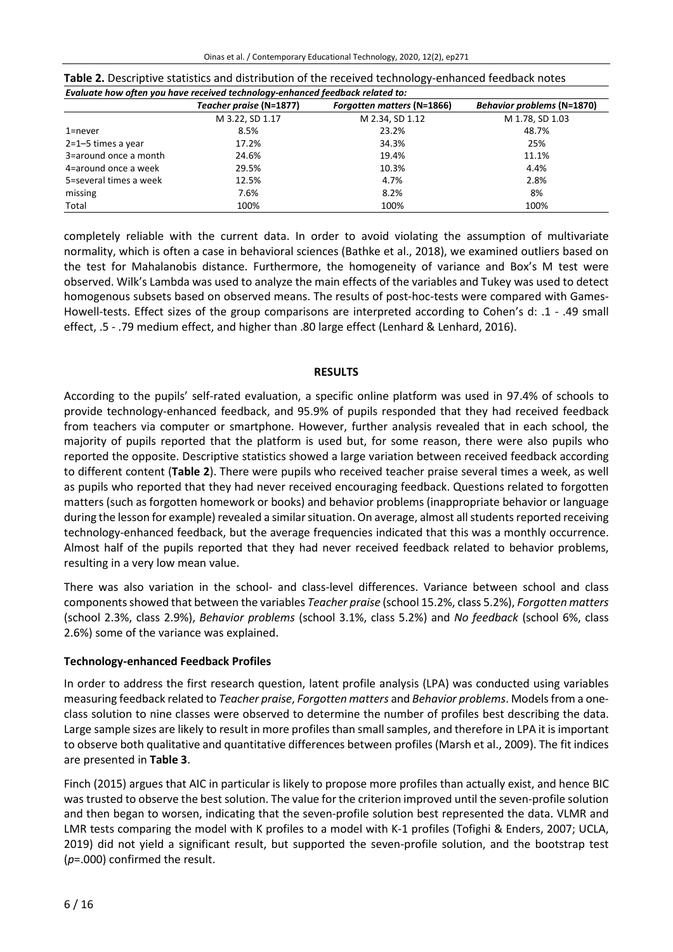|                        | Teacher praise (N=1877) | <b>Forgotten matters (N=1866)</b> | <b>Behavior problems (N=1870)</b> |  |  |  |
|------------------------|-------------------------|-----------------------------------|-----------------------------------|--|--|--|
|                        | M 3.22, SD 1.17         | M 2.34, SD 1.12                   | M 1.78, SD 1.03                   |  |  |  |
| $1$ =never             | 8.5%                    | 23.2%                             | 48.7%                             |  |  |  |
| $2=1-5$ times a year   | 17.2%                   | 34.3%                             | 25%                               |  |  |  |
| 3=around once a month  | 24.6%                   | 19.4%                             | 11.1%                             |  |  |  |
| 4=around once a week   | 29.5%                   | 10.3%                             | 4.4%                              |  |  |  |
| 5=several times a week | 12.5%                   | 4.7%                              | 2.8%                              |  |  |  |
| missing                | 7.6%                    | 8.2%                              | 8%                                |  |  |  |
| Total                  | 100%                    | 100%                              | 100%                              |  |  |  |

| Table 2. Descriptive statistics and distribution of the received technology-enhanced feedback notes |
|-----------------------------------------------------------------------------------------------------|
| Evaluate how often you have received technology-enhanced feedback related to:                       |

completely reliable with the current data. In order to avoid violating the assumption of multivariate normality, which is often a case in behavioral sciences (Bathke et al., 2018), we examined outliers based on the test for Mahalanobis distance. Furthermore, the homogeneity of variance and Box's M test were observed. Wilk's Lambda was used to analyze the main effects of the variables and Tukey was used to detect homogenous subsets based on observed means. The results of post-hoc-tests were compared with Games-Howell-tests. Effect sizes of the group comparisons are interpreted according to Cohen's d: .1 - .49 small effect, .5 - .79 medium effect, and higher than .80 large effect (Lenhard & Lenhard, 2016).

#### **RESULTS**

According to the pupils' self-rated evaluation, a specific online platform was used in 97.4% of schools to provide technology-enhanced feedback, and 95.9% of pupils responded that they had received feedback from teachers via computer or smartphone. However, further analysis revealed that in each school, the majority of pupils reported that the platform is used but, for some reason, there were also pupils who reported the opposite. Descriptive statistics showed a large variation between received feedback according to different content (**Table 2**). There were pupils who received teacher praise several times a week, as well as pupils who reported that they had never received encouraging feedback. Questions related to forgotten matters (such as forgotten homework or books) and behavior problems (inappropriate behavior or language during the lesson for example) revealed a similar situation. On average, almost all students reported receiving technology-enhanced feedback, but the average frequencies indicated that this was a monthly occurrence. Almost half of the pupils reported that they had never received feedback related to behavior problems, resulting in a very low mean value.

There was also variation in the school- and class-level differences. Variance between school and class componentsshowed that between the variables *Teacher praise* (school 15.2%, class 5.2%), *Forgotten matters* (school 2.3%, class 2.9%), *Behavior problems* (school 3.1%, class 5.2%) and *No feedback* (school 6%, class 2.6%) some of the variance was explained.

### **Technology-enhanced Feedback Profiles**

In order to address the first research question, latent profile analysis (LPA) was conducted using variables measuring feedback related to *Teacher praise*, *Forgotten matters* and *Behavior problems*. Modelsfrom a oneclass solution to nine classes were observed to determine the number of profiles best describing the data. Large sample sizes are likely to result in more profiles than smallsamples, and therefore in LPA it isimportant to observe both qualitative and quantitative differences between profiles (Marsh et al., 2009). The fit indices are presented in **Table 3**.

Finch (2015) argues that AIC in particular is likely to propose more profiles than actually exist, and hence BIC was trusted to observe the best solution. The value forthe criterion improved until the seven-profile solution and then began to worsen, indicating that the seven-profile solution best represented the data. VLMR and LMR tests comparing the model with K profiles to a model with K-1 profiles (Tofighi & Enders, 2007; UCLA, 2019) did not yield a significant result, but supported the seven-profile solution, and the bootstrap test (*p*=.000) confirmed the result.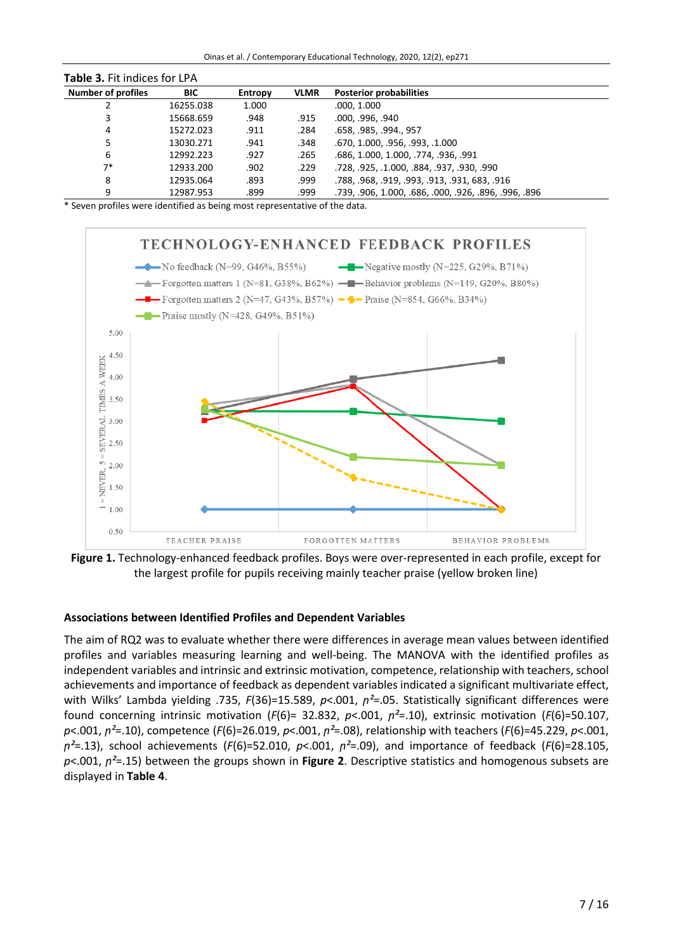Oinas et al. / Contemporary Educational Technology, 2020, 12(2), ep271

| <b>Table 3. Fit indices for LPA</b> |            |         |             |                                                       |  |
|-------------------------------------|------------|---------|-------------|-------------------------------------------------------|--|
| <b>Number of profiles</b>           | <b>BIC</b> | Entropy | <b>VLMR</b> | <b>Posterior probabilities</b>                        |  |
|                                     | 16255.038  | 1.000   |             | .000, 1.000                                           |  |
| 3                                   | 15668.659  | .948    | .915        | .000, .996, .940                                      |  |
| 4                                   | 15272.023  | .911    | .284        | .658, .985, .994., 957                                |  |
|                                     | 13030.271  | .941    | .348        | .670, 1.000, .956, .993, .1.000                       |  |
| 6                                   | 12992.223  | .927    | .265        | .686, 1.000, 1.000, .774, .936, .991                  |  |
| $7*$                                | 12933.200  | .902    | .229        | .728, .925, .1.000, .884, .937, .930, .990            |  |
| 8                                   | 12935.064  | .893    | .999        | .788, .968, .919, .993, .913, .931, 683, .916         |  |
| 9                                   | 12987.953  | .899    | .999        | .739, .906, 1.000, .686, .000, .926, .896, .996, .896 |  |

\* Seven profiles were identified as being most representative of the data.



**Figure 1.** Technology-enhanced feedback profiles. Boys were over-represented in each profile, except for the largest profile for pupils receiving mainly teacher praise (yellow broken line)

### **Associations between Identified Profiles and Dependent Variables**

The aim of RQ2 was to evaluate whether there were differences in average mean values between identified profiles and variables measuring learning and well-being. The MANOVA with the identified profiles as independent variables and intrinsic and extrinsic motivation, competence, relationship with teachers, school achievements and importance of feedback as dependent variables indicated a significant multivariate effect, with Wilks' Lambda yielding .735, *F*(36)=15.589, *p*<.001, *p*<sup>2</sup>=.05. Statistically significant differences were found concerning intrinsic motivation ( $F(6)$ = 32.832,  $p$ <.001,  $n^2$ =.10), extrinsic motivation ( $F(6)$ =50.107, *p*<.001, *ꞃ²*=.10), competence (*F*(6)=26.019, *p*<.001, *ꞃ²*=.08), relationship with teachers (*F*(6)=45.229, *p*<.001,  $p^2 = .13$ ), school achievements (*F*(6)=52.010, *p*<.001,  $p^2 = .09$ ), and importance of feedback (*F*(6)=28.105, *p*<.001, *ꞃ²*=.15) between the groups shown in **Figure 2**. Descriptive statistics and homogenous subsets are displayed in **Table 4**.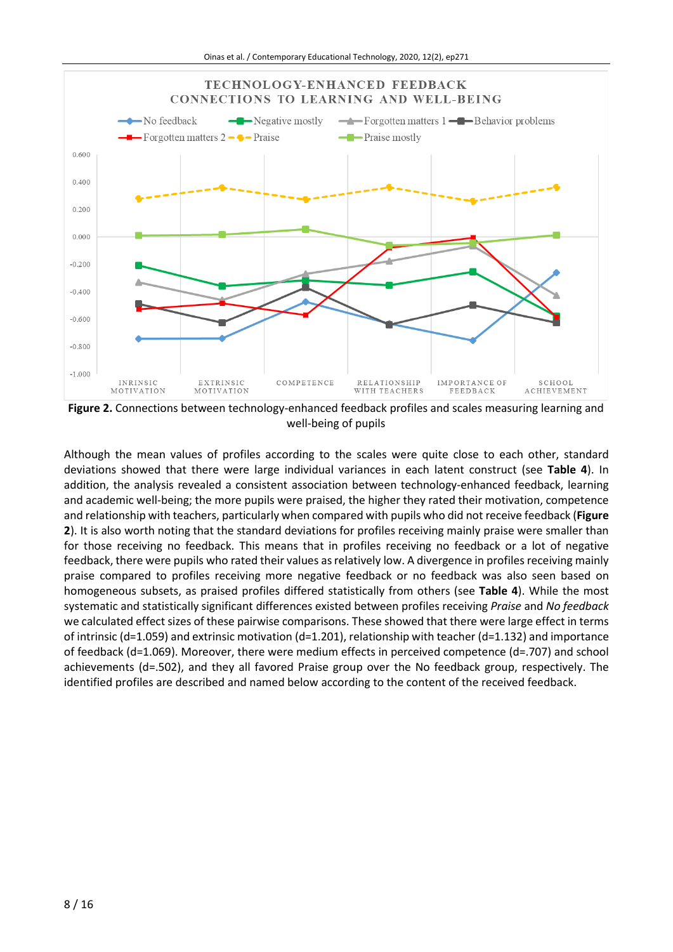

**Figure 2.** Connections between technology-enhanced feedback profiles and scales measuring learning and well-being of pupils

Although the mean values of profiles according to the scales were quite close to each other, standard deviations showed that there were large individual variances in each latent construct (see **Table 4**). In addition, the analysis revealed a consistent association between technology-enhanced feedback, learning and academic well-being; the more pupils were praised, the higher they rated their motivation, competence and relationship with teachers, particularly when compared with pupils who did not receive feedback (**Figure 2**). It is also worth noting that the standard deviations for profiles receiving mainly praise were smaller than for those receiving no feedback. This means that in profiles receiving no feedback or a lot of negative feedback, there were pupils who rated their values as relatively low. A divergence in profiles receiving mainly praise compared to profiles receiving more negative feedback or no feedback was also seen based on homogeneous subsets, as praised profiles differed statistically from others (see **Table 4**). While the most systematic and statistically significant differences existed between profiles receiving *Praise* and *No feedback* we calculated effect sizes of these pairwise comparisons. These showed that there were large effect in terms of intrinsic (d=1.059) and extrinsic motivation (d=1.201), relationship with teacher (d=1.132) and importance of feedback (d=1.069). Moreover, there were medium effects in perceived competence (d=.707) and school achievements (d=.502), and they all favored Praise group over the No feedback group, respectively. The identified profiles are described and named below according to the content of the received feedback.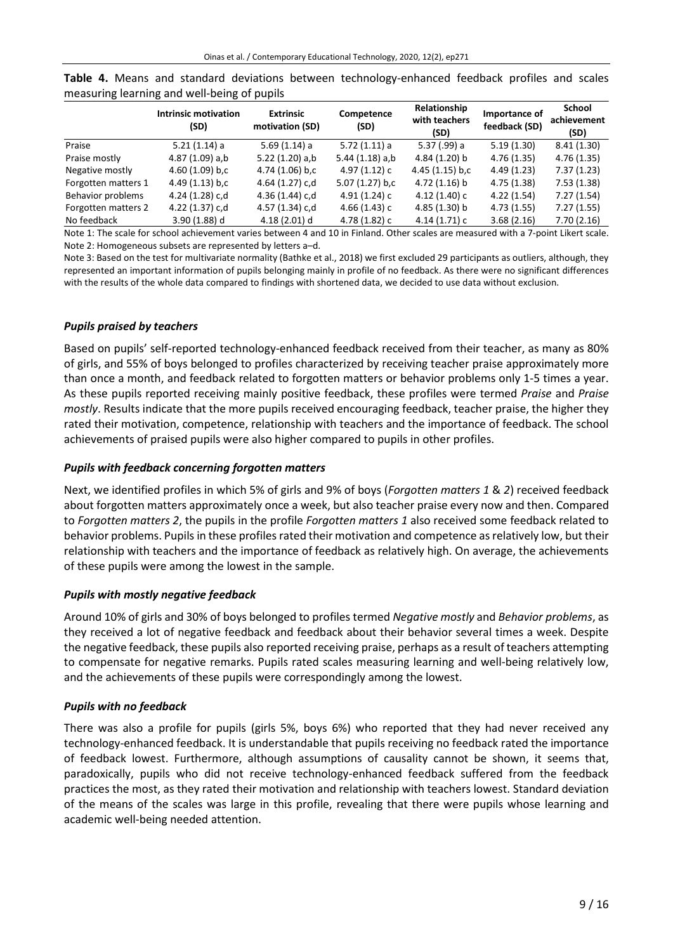| <b>Intrinsic motivation</b><br>(SD) | <b>Extrinsic</b><br>motivation (SD) | Competence<br>(SD) | Relationship<br>with teachers<br>(SD) | Importance of<br>feedback (SD) | School<br>achievement<br>(SD) |
|-------------------------------------|-------------------------------------|--------------------|---------------------------------------|--------------------------------|-------------------------------|
| $5.21(1.14)$ a                      | 5.69(1.14) a                        | 5.72(1.11)a        | 5.37 (.99) a                          | 5.19(1.30)                     | 8.41(1.30)                    |
| 4.87 (1.09) a,b                     | 5.22 $(1.20)$ a,b                   | 5.44(1.18) a.b     | 4.84 (1.20) b                         | 4.76(1.35)                     | 4.76(1.35)                    |
| $4.60(1.09)$ b,c                    | 4.74 (1.06) b,c                     | 4.97 (1.12) c      | $4.45(1.15)$ b,c                      | 4.49(1.23)                     | 7.37(1.23)                    |
| $4.49(1.13)$ b,c                    | 4.64 (1.27) c,d                     | 5.07 (1.27) b,c    | $4.72(1.16)$ b                        | 4.75(1.38)                     | 7.53(1.38)                    |
| 4.24 (1.28) c,d                     | 4.36 (1.44) c,d                     | 4.91 (1.24) c      | 4.12(1.40)c                           | 4.22(1.54)                     | 7.27(1.54)                    |
| 4.22 (1.37) c,d                     | 4.57 (1.34) c,d                     | $4.66(1.43)$ c     | 4.85 (1.30) b                         | 4.73(1.55)                     | 7.27(1.55)                    |
| $3.90(1.88)$ d                      | $4.18(2.01)$ d                      | 4.78 (1.82) c      | 4.14(1.71)c                           | 3.68(2.16)                     | 7.70(2.16)                    |
|                                     |                                     |                    |                                       |                                |                               |

**Table 4.** Means and standard deviations between technology-enhanced feedback profiles and scales measuring learning and well-being of pupils

Note 1: The scale for school achievement varies between 4 and 10 in Finland. Other scales are measured with a 7-point Likert scale. Note 2: Homogeneous subsets are represented by letters a–d.

Note 3: Based on the test for multivariate normality (Bathke et al., 2018) we first excluded 29 participants as outliers, although, they represented an important information of pupils belonging mainly in profile of no feedback. As there were no significant differences with the results of the whole data compared to findings with shortened data, we decided to use data without exclusion.

# *Pupils praised by teachers*

Based on pupils' self-reported technology-enhanced feedback received from their teacher, as many as 80% of girls, and 55% of boys belonged to profiles characterized by receiving teacher praise approximately more than once a month, and feedback related to forgotten matters or behavior problems only 1-5 times a year. As these pupils reported receiving mainly positive feedback, these profiles were termed *Praise* and *Praise mostly*. Results indicate that the more pupils received encouraging feedback, teacher praise, the higher they rated their motivation, competence, relationship with teachers and the importance of feedback. The school achievements of praised pupils were also higher compared to pupils in other profiles.

# *Pupils with feedback concerning forgotten matters*

Next, we identified profiles in which 5% of girls and 9% of boys (*Forgotten matters 1* & *2*) received feedback about forgotten matters approximately once a week, but also teacher praise every now and then. Compared to *Forgotten matters 2*, the pupils in the profile *Forgotten matters 1* also received some feedback related to behavior problems. Pupils in these profiles rated their motivation and competence as relatively low, but their relationship with teachers and the importance of feedback as relatively high. On average, the achievements of these pupils were among the lowest in the sample.

### *Pupils with mostly negative feedback*

Around 10% of girls and 30% of boys belonged to profiles termed *Negative mostly* and *Behavior problems*, as they received a lot of negative feedback and feedback about their behavior several times a week. Despite the negative feedback, these pupils also reported receiving praise, perhaps as a result of teachers attempting to compensate for negative remarks. Pupils rated scales measuring learning and well-being relatively low, and the achievements of these pupils were correspondingly among the lowest.

### *Pupils with no feedback*

There was also a profile for pupils (girls 5%, boys 6%) who reported that they had never received any technology-enhanced feedback. It is understandable that pupils receiving no feedback rated the importance of feedback lowest. Furthermore, although assumptions of causality cannot be shown, it seems that, paradoxically, pupils who did not receive technology-enhanced feedback suffered from the feedback practices the most, as they rated their motivation and relationship with teachers lowest. Standard deviation of the means of the scales was large in this profile, revealing that there were pupils whose learning and academic well-being needed attention.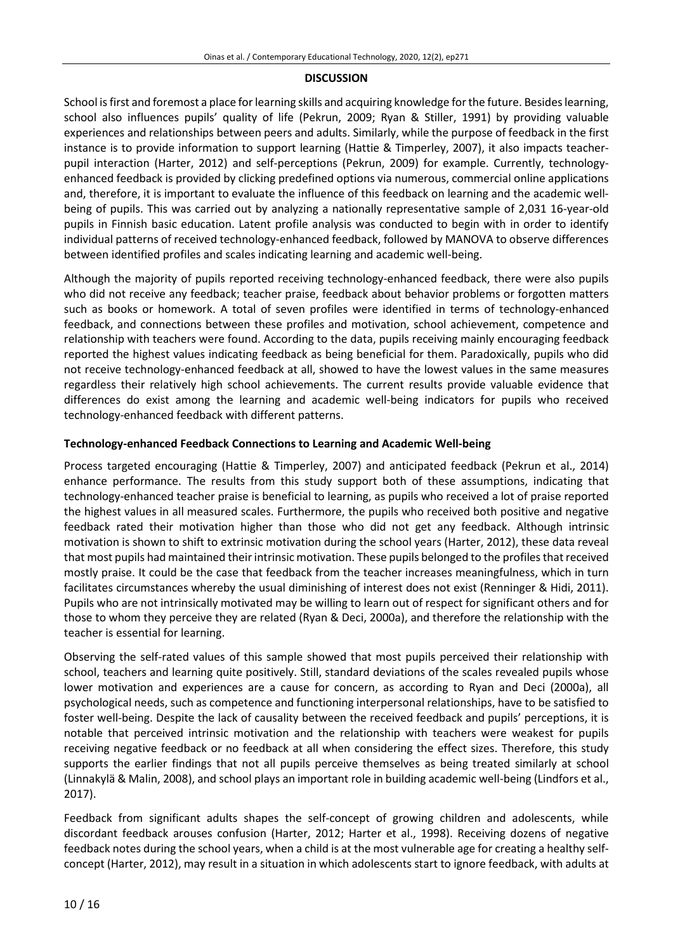#### **DISCUSSION**

School is first and foremost a place for learning skills and acquiring knowledge for the future. Besides learning, school also influences pupils' quality of life (Pekrun, 2009; Ryan & Stiller, 1991) by providing valuable experiences and relationships between peers and adults. Similarly, while the purpose of feedback in the first instance is to provide information to support learning (Hattie & Timperley, 2007), it also impacts teacherpupil interaction (Harter, 2012) and self-perceptions (Pekrun, 2009) for example. Currently, technologyenhanced feedback is provided by clicking predefined options via numerous, commercial online applications and, therefore, it is important to evaluate the influence of this feedback on learning and the academic wellbeing of pupils. This was carried out by analyzing a nationally representative sample of 2,031 16-year-old pupils in Finnish basic education. Latent profile analysis was conducted to begin with in order to identify individual patterns of received technology-enhanced feedback, followed by MANOVA to observe differences between identified profiles and scales indicating learning and academic well-being.

Although the majority of pupils reported receiving technology-enhanced feedback, there were also pupils who did not receive any feedback; teacher praise, feedback about behavior problems or forgotten matters such as books or homework. A total of seven profiles were identified in terms of technology-enhanced feedback, and connections between these profiles and motivation, school achievement, competence and relationship with teachers were found. According to the data, pupils receiving mainly encouraging feedback reported the highest values indicating feedback as being beneficial for them. Paradoxically, pupils who did not receive technology-enhanced feedback at all, showed to have the lowest values in the same measures regardless their relatively high school achievements. The current results provide valuable evidence that differences do exist among the learning and academic well-being indicators for pupils who received technology-enhanced feedback with different patterns.

#### **Technology-enhanced Feedback Connections to Learning and Academic Well-being**

Process targeted encouraging (Hattie & Timperley, 2007) and anticipated feedback (Pekrun et al., 2014) enhance performance. The results from this study support both of these assumptions, indicating that technology-enhanced teacher praise is beneficial to learning, as pupils who received a lot of praise reported the highest values in all measured scales. Furthermore, the pupils who received both positive and negative feedback rated their motivation higher than those who did not get any feedback. Although intrinsic motivation is shown to shift to extrinsic motivation during the school years (Harter, 2012), these data reveal that most pupils had maintained theirintrinsic motivation. These pupils belonged to the profilesthatreceived mostly praise. It could be the case that feedback from the teacher increases meaningfulness, which in turn facilitates circumstances whereby the usual diminishing of interest does not exist (Renninger & Hidi, 2011). Pupils who are not intrinsically motivated may be willing to learn out of respect for significant others and for those to whom they perceive they are related (Ryan & Deci, 2000a), and therefore the relationship with the teacher is essential for learning.

Observing the self-rated values of this sample showed that most pupils perceived their relationship with school, teachers and learning quite positively. Still, standard deviations of the scales revealed pupils whose lower motivation and experiences are a cause for concern, as according to Ryan and Deci (2000a), all psychological needs, such as competence and functioning interpersonal relationships, have to be satisfied to foster well-being. Despite the lack of causality between the received feedback and pupils' perceptions, it is notable that perceived intrinsic motivation and the relationship with teachers were weakest for pupils receiving negative feedback or no feedback at all when considering the effect sizes. Therefore, this study supports the earlier findings that not all pupils perceive themselves as being treated similarly at school (Linnakylä & Malin, 2008), and school plays an important role in building academic well-being (Lindfors et al., 2017).

Feedback from significant adults shapes the self-concept of growing children and adolescents, while discordant feedback arouses confusion (Harter, 2012; Harter et al., 1998). Receiving dozens of negative feedback notes during the school years, when a child is at the most vulnerable age for creating a healthy selfconcept (Harter, 2012), may result in a situation in which adolescents start to ignore feedback, with adults at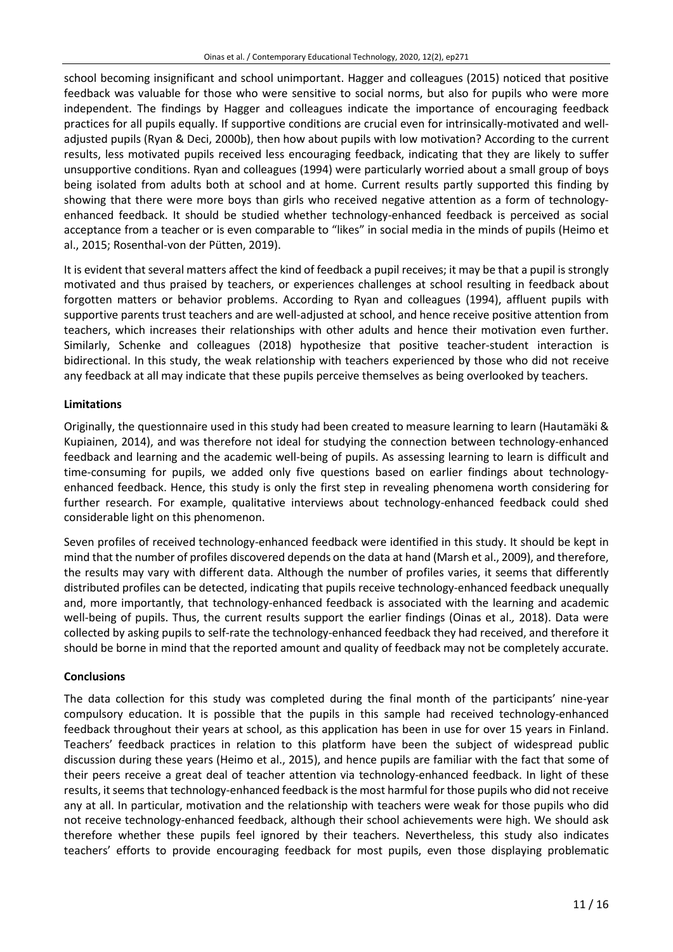school becoming insignificant and school unimportant. Hagger and colleagues (2015) noticed that positive feedback was valuable for those who were sensitive to social norms, but also for pupils who were more independent. The findings by Hagger and colleagues indicate the importance of encouraging feedback practices for all pupils equally. If supportive conditions are crucial even for intrinsically-motivated and welladjusted pupils (Ryan & Deci, 2000b), then how about pupils with low motivation? According to the current results, less motivated pupils received less encouraging feedback, indicating that they are likely to suffer unsupportive conditions. Ryan and colleagues (1994) were particularly worried about a small group of boys being isolated from adults both at school and at home. Current results partly supported this finding by showing that there were more boys than girls who received negative attention as a form of technologyenhanced feedback. It should be studied whether technology-enhanced feedback is perceived as social acceptance from a teacher or is even comparable to "likes" in social media in the minds of pupils (Heimo et al., 2015; Rosenthal-von der Pütten, 2019).

It is evident that several matters affect the kind of feedback a pupil receives; it may be that a pupil is strongly motivated and thus praised by teachers, or experiences challenges at school resulting in feedback about forgotten matters or behavior problems. According to Ryan and colleagues (1994), affluent pupils with supportive parents trust teachers and are well-adjusted at school, and hence receive positive attention from teachers, which increases their relationships with other adults and hence their motivation even further. Similarly, Schenke and colleagues (2018) hypothesize that positive teacher-student interaction is bidirectional. In this study, the weak relationship with teachers experienced by those who did not receive any feedback at all may indicate that these pupils perceive themselves as being overlooked by teachers.

# **Limitations**

Originally, the questionnaire used in this study had been created to measure learning to learn (Hautamäki & Kupiainen, 2014), and was therefore not ideal for studying the connection between technology-enhanced feedback and learning and the academic well-being of pupils. As assessing learning to learn is difficult and time-consuming for pupils, we added only five questions based on earlier findings about technologyenhanced feedback. Hence, this study is only the first step in revealing phenomena worth considering for further research. For example, qualitative interviews about technology-enhanced feedback could shed considerable light on this phenomenon.

Seven profiles of received technology-enhanced feedback were identified in this study. It should be kept in mind that the number of profiles discovered depends on the data at hand (Marsh et al., 2009), and therefore, the results may vary with different data. Although the number of profiles varies, it seems that differently distributed profiles can be detected, indicating that pupils receive technology-enhanced feedback unequally and, more importantly, that technology-enhanced feedback is associated with the learning and academic well-being of pupils. Thus, the current results support the earlier findings (Oinas et al.*,* 2018). Data were collected by asking pupils to self-rate the technology-enhanced feedback they had received, and therefore it should be borne in mind that the reported amount and quality of feedback may not be completely accurate.

# **Conclusions**

The data collection for this study was completed during the final month of the participants' nine-year compulsory education. It is possible that the pupils in this sample had received technology-enhanced feedback throughout their years at school, as this application has been in use for over 15 years in Finland. Teachers' feedback practices in relation to this platform have been the subject of widespread public discussion during these years (Heimo et al., 2015), and hence pupils are familiar with the fact that some of their peers receive a great deal of teacher attention via technology-enhanced feedback. In light of these results, it seems that technology-enhanced feedback is the most harmful for those pupils who did not receive any at all. In particular, motivation and the relationship with teachers were weak for those pupils who did not receive technology-enhanced feedback, although their school achievements were high. We should ask therefore whether these pupils feel ignored by their teachers. Nevertheless, this study also indicates teachers' efforts to provide encouraging feedback for most pupils, even those displaying problematic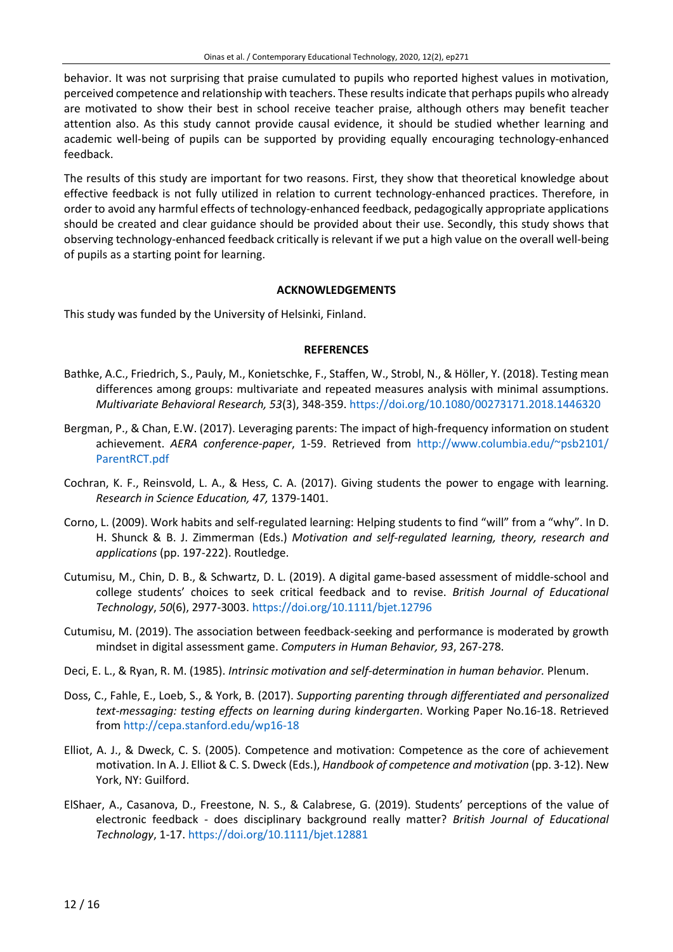behavior. It was not surprising that praise cumulated to pupils who reported highest values in motivation, perceived competence and relationship with teachers. These resultsindicate that perhaps pupils who already are motivated to show their best in school receive teacher praise, although others may benefit teacher attention also. As this study cannot provide causal evidence, it should be studied whether learning and academic well-being of pupils can be supported by providing equally encouraging technology-enhanced feedback.

The results of this study are important for two reasons. First, they show that theoretical knowledge about effective feedback is not fully utilized in relation to current technology-enhanced practices. Therefore, in order to avoid any harmful effects of technology-enhanced feedback, pedagogically appropriate applications should be created and clear guidance should be provided about their use. Secondly, this study shows that observing technology-enhanced feedback critically is relevant if we put a high value on the overall well-being of pupils as a starting point for learning.

#### **ACKNOWLEDGEMENTS**

This study was funded by the University of Helsinki, Finland.

#### **REFERENCES**

- Bathke, A.C., Friedrich, S., Pauly, M., Konietschke, F., Staffen, W., Strobl, N., & Höller, Y. (2018). Testing mean differences among groups: multivariate and repeated measures analysis with minimal assumptions. *Multivariate Behavioral Research, 53*(3), 348-359. <https://doi.org/10.1080/00273171.2018.1446320>
- Bergman, P., & Chan, E.W. (2017). Leveraging parents: The impact of high-frequency information on student achievement. *AERA conference-paper*, 1-59. Retrieved from [http://www.columbia.edu/~psb2101/](http://www.columbia.edu/~psb2101/ParentRCT.pdf) [ParentRCT.pdf](http://www.columbia.edu/~psb2101/ParentRCT.pdf)
- Cochran, K. F., Reinsvold, L. A., & Hess, C. A. (2017). Giving students the power to engage with learning. *Research in Science Education, 47,* 1379-1401.
- Corno, L. (2009). Work habits and self-regulated learning: Helping students to find "will" from a "why". In D. H. Shunck & B. J. Zimmerman (Eds.) *Motivation and self-regulated learning, theory, research and applications* (pp. 197-222). Routledge.
- Cutumisu, M., Chin, D. B., & Schwartz, D. L. (2019). A digital game-based assessment of middle-school and college students' choices to seek critical feedback and to revise. *British Journal of Educational Technology*, *50*(6), 2977-3003. <https://doi.org/10.1111/bjet.12796>
- Cutumisu, M. (2019). The association between feedback-seeking and performance is moderated by growth mindset in digital assessment game. *Computers in Human Behavior, 93*, 267-278.
- Deci, E. L., & Ryan, R. M. (1985). *Intrinsic motivation and self-determination in human behavior.* Plenum.
- Doss, C., Fahle, E., Loeb, S., & York, B. (2017). *Supporting parenting through differentiated and personalized text-messaging: testing effects on learning during kindergarten*. Working Paper No.16-18. Retrieved from <http://cepa.stanford.edu/wp16-18>
- Elliot, A. J., & Dweck, C. S. (2005). Competence and motivation: Competence as the core of achievement motivation. In A. J. Elliot & C. S. Dweck (Eds.), *Handbook of competence and motivation* (pp. 3-12). New York, NY: Guilford.
- ElShaer, A., Casanova, D., Freestone, N. S., & Calabrese, G. (2019). Students' perceptions of the value of electronic feedback - does disciplinary background really matter? *British Journal of Educational Technology*, 1-17. <https://doi.org/10.1111/bjet.12881>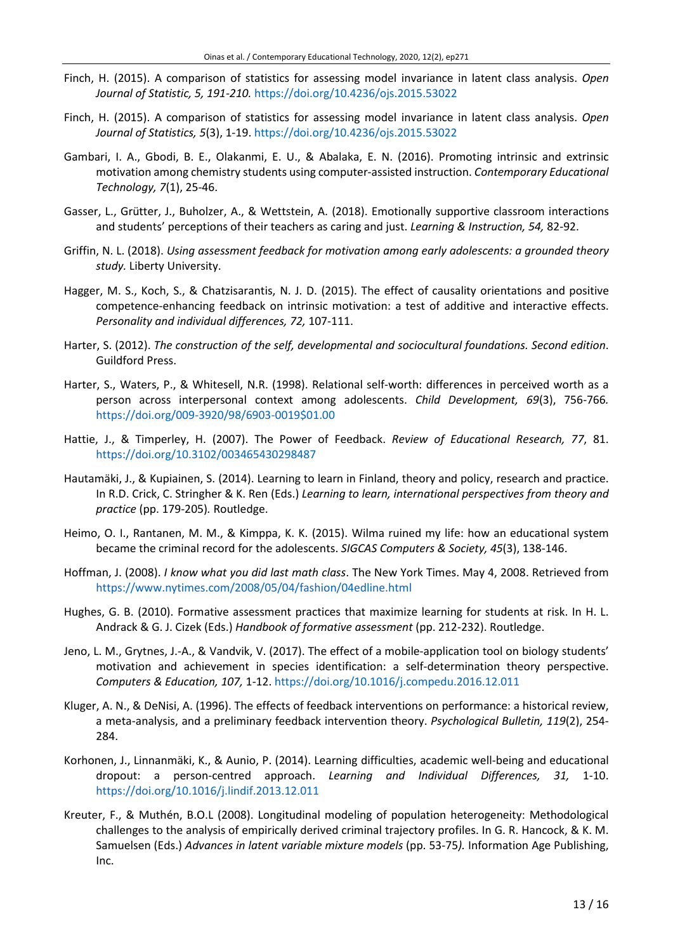- Finch, H. (2015). A comparison of statistics for assessing model invariance in latent class analysis. *Open Journal of Statistic, 5, 191-210.* <https://doi.org/10.4236/ojs.2015.53022>
- Finch, H. (2015). A comparison of statistics for assessing model invariance in latent class analysis. *Open Journal of Statistics, 5*(3), 1-19. <https://doi.org/10.4236/ojs.2015.53022>
- Gambari, I. A., Gbodi, B. E., Olakanmi, E. U., & Abalaka, E. N. (2016). Promoting intrinsic and extrinsic motivation among chemistry students using computer-assisted instruction. *Contemporary Educational Technology, 7*(1), 25-46.
- Gasser, L., Grütter, J., Buholzer, A., & Wettstein, A. (2018). Emotionally supportive classroom interactions and students' perceptions of their teachers as caring and just. *Learning & Instruction, 54,* 82-92.
- Griffin, N. L. (2018). *Using assessment feedback for motivation among early adolescents: a grounded theory study.* Liberty University.
- Hagger, M. S., Koch, S., & Chatzisarantis, N. J. D. (2015). The effect of causality orientations and positive competence-enhancing feedback on intrinsic motivation: a test of additive and interactive effects. *Personality and individual differences, 72,* 107-111.
- Harter, S. (2012). *The construction of the self, developmental and sociocultural foundations. Second edition*. Guildford Press.
- Harter, S., Waters, P., & Whitesell, N.R. (1998). Relational self-worth: differences in perceived worth as a person across interpersonal context among adolescents. *Child Development, 69*(3), 756-766*.* [https://doi.org/009-3920/98/6903-0019\\$01.00](https://doi.org/009-3920/98/6903-0019$01.00)
- Hattie, J., & Timperley, H. (2007). The Power of Feedback. *Review of Educational Research, 77*, 81. <https://doi.org/10.3102/003465430298487>
- Hautamäki, J., & Kupiainen, S. (2014). Learning to learn in Finland, theory and policy, research and practice. In R.D. Crick, C. Stringher & K. Ren (Eds.) *Learning to learn, international perspectives from theory and practice* (pp. 179-205)*.* Routledge.
- Heimo, O. I., Rantanen, M. M., & Kimppa, K. K. (2015). Wilma ruined my life: how an educational system became the criminal record for the adolescents. *SIGCAS Computers & Society, 45*(3), 138-146.
- Hoffman, J. (2008). *I know what you did last math class*. The New York Times. May 4, 2008. Retrieved from <https://www.nytimes.com/2008/05/04/fashion/04edline.html>
- Hughes, G. B. (2010). Formative assessment practices that maximize learning for students at risk. In H. L. Andrack & G. J. Cizek (Eds.) *Handbook of formative assessment* (pp. 212-232). Routledge.
- Jeno, L. M., Grytnes, J.-A., & Vandvik, V. (2017). The effect of a mobile-application tool on biology students' motivation and achievement in species identification: a self-determination theory perspective. *Computers & Education, 107,* 1-12. <https://doi.org/10.1016/j.compedu.2016.12.011>
- Kluger, A. N., & DeNisi, A. (1996). The effects of feedback interventions on performance: a historical review, a meta-analysis, and a preliminary feedback intervention theory. *Psychological Bulletin, 119*(2), 254- 284.
- Korhonen, J., Linnanmäki, K., & Aunio, P. (2014). Learning difficulties, academic well-being and educational dropout: a person-centred approach. *Learning and Individual Differences, 31,* 1-10. <https://doi.org/10.1016/j.lindif.2013.12.011>
- Kreuter, F., & Muthén, B.O.L (2008). Longitudinal modeling of population heterogeneity: Methodological challenges to the analysis of empirically derived criminal trajectory profiles. In G. R. Hancock, & K. M. Samuelsen (Eds.) *Advances in latent variable mixture models* (pp. 53-75*).* Information Age Publishing, Inc.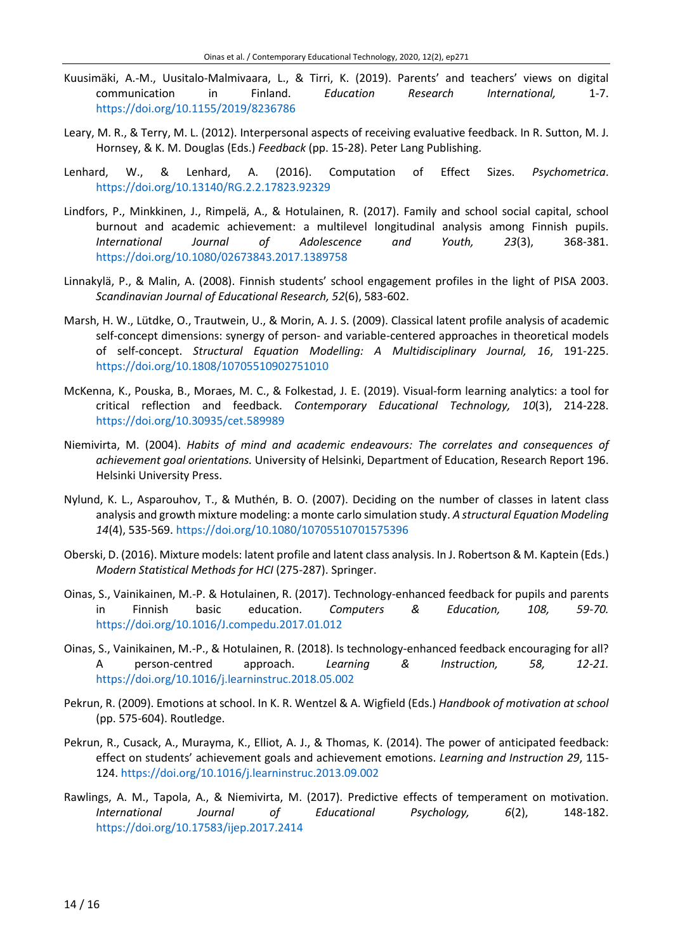- Kuusimäki, A.-M., Uusitalo-Malmivaara, L., & Tirri, K. (2019). Parents' and teachers' views on digital communication in Finland. *Education Research International,* 1-7. <https://doi.org/10.1155/2019/8236786>
- Leary, M. R., & Terry, M. L. (2012). Interpersonal aspects of receiving evaluative feedback. In R. Sutton, M. J. Hornsey, & K. M. Douglas (Eds.) *Feedback* (pp. 15-28). Peter Lang Publishing.
- Lenhard, W., & Lenhard, A. (2016). Computation of Effect Sizes. *Psychometrica*. <https://doi.org/10.13140/RG.2.2.17823.92329>
- Lindfors, P., Minkkinen, J., Rimpelä, A., & Hotulainen, R. (2017). Family and school social capital, school burnout and academic achievement: a multilevel longitudinal analysis among Finnish pupils. *International Journal of Adolescence and Youth, 23*(3), 368-381. <https://doi.org/10.1080/02673843.2017.1389758>
- Linnakylä, P., & Malin, A. (2008). Finnish students' school engagement profiles in the light of PISA 2003. *Scandinavian Journal of Educational Research, 52*(6), 583-602.
- Marsh, H. W., Lütdke, O., Trautwein, U., & Morin, A. J. S. (2009). Classical latent profile analysis of academic self-concept dimensions: synergy of person- and variable-centered approaches in theoretical models of self-concept. *Structural Equation Modelling: A Multidisciplinary Journal, 16*, 191-225. <https://doi.org/10.1808/10705510902751010>
- McKenna, K., Pouska, B., Moraes, M. C., & Folkestad, J. E. (2019). Visual-form learning analytics: a tool for critical reflection and feedback. *Contemporary Educational Technology, 10*(3), 214-228. <https://doi.org/10.30935/cet.589989>
- Niemivirta, M. (2004). *Habits of mind and academic endeavours: The correlates and consequences of achievement goal orientations.* University of Helsinki, Department of Education, Research Report 196. Helsinki University Press.
- Nylund, K. L., Asparouhov, T., & Muthén, B. O. (2007). Deciding on the number of classes in latent class analysis and growth mixture modeling: a monte carlo simulation study. *A structural Equation Modeling 14*(4), 535-569. <https://doi.org/10.1080/10705510701575396>
- Oberski, D. (2016). Mixture models: latent profile and latent class analysis. In J. Robertson & M. Kaptein (Eds.) *Modern Statistical Methods for HCI* (275-287). Springer.
- Oinas, S., Vainikainen, M.-P. & Hotulainen, R. (2017). Technology-enhanced feedback for pupils and parents in Finnish basic education. *Computers & Education, 108, 59-70.*  <https://doi.org/10.1016/J.compedu.2017.01.012>
- Oinas, S., Vainikainen, M.-P., & Hotulainen, R. (2018). Is technology-enhanced feedback encouraging for all? A person-centred approach. *Learning & Instruction, 58, 12-21.*  <https://doi.org/10.1016/j.learninstruc.2018.05.002>
- Pekrun, R. (2009). Emotions at school. In K. R. Wentzel & A. Wigfield (Eds.) *Handbook of motivation at school* (pp. 575-604). Routledge.
- Pekrun, R., Cusack, A., Murayma, K., Elliot, A. J., & Thomas, K. (2014). The power of anticipated feedback: effect on students' achievement goals and achievement emotions. *Learning and Instruction 29*, 115- 124. <https://doi.org/10.1016/j.learninstruc.2013.09.002>
- Rawlings, A. M., Tapola, A., & Niemivirta, M. (2017). Predictive effects of temperament on motivation. *International Journal of Educational Psychology, 6*(2), 148-182. <https://doi.org/10.17583/ijep.2017.2414>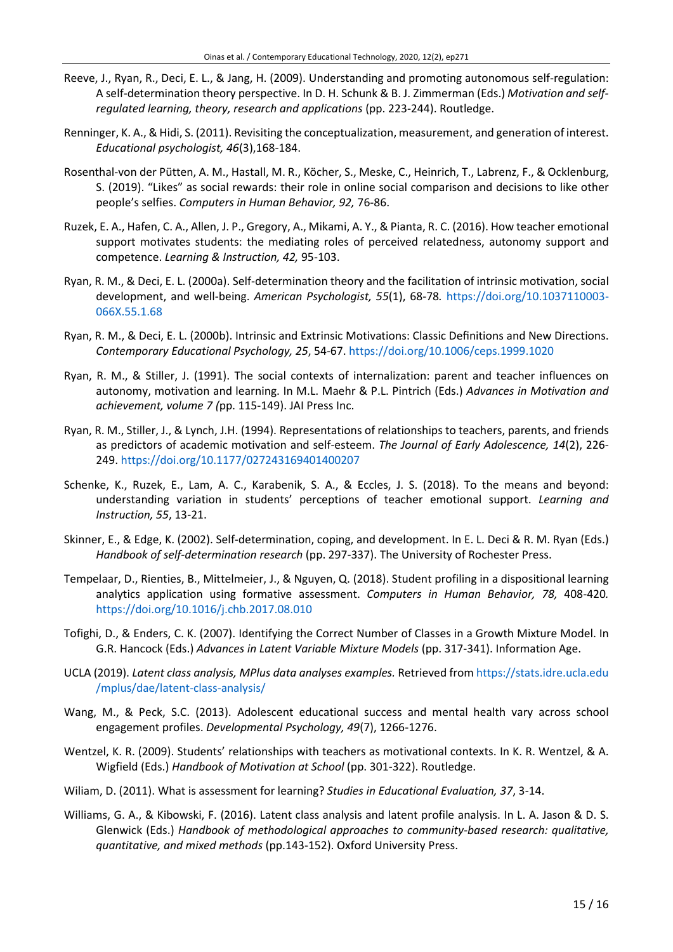- Reeve, J., Ryan, R., Deci, E. L., & Jang, H. (2009). Understanding and promoting autonomous self-regulation: A self-determination theory perspective. In D. H. Schunk & B. J. Zimmerman (Eds.) *Motivation and selfregulated learning, theory, research and applications* (pp. 223-244). Routledge.
- Renninger, K. A., & Hidi, S. (2011). Revisiting the conceptualization, measurement, and generation of interest. *Educational psychologist, 46*(3),168-184.
- Rosenthal-von der Pütten, A. M., Hastall, M. R., Köcher, S., Meske, C., Heinrich, T., Labrenz, F., & Ocklenburg, S. (2019). "Likes" as social rewards: their role in online social comparison and decisions to like other people's selfies. *Computers in Human Behavior, 92,* 76-86.
- Ruzek, E. A., Hafen, C. A., Allen, J. P., Gregory, A., Mikami, A. Y., & Pianta, R. C. (2016). How teacher emotional support motivates students: the mediating roles of perceived relatedness, autonomy support and competence. *Learning & Instruction, 42,* 95-103.
- Ryan, R. M., & Deci, E. L. (2000a). Self-determination theory and the facilitation of intrinsic motivation, social development, and well-being. *American Psychologist, 55*(1), 68-78*.* [https://doi.org/10.1037110003-](https://doi.org/10.1037110003-066X.55.1.68) [066X.55.1.68](https://doi.org/10.1037110003-066X.55.1.68)
- Ryan, R. M., & Deci, E. L. (2000b). Intrinsic and Extrinsic Motivations: Classic Definitions and New Directions. *Contemporary Educational Psychology, 25*, 54-67. <https://doi.org/10.1006/ceps.1999.1020>
- Ryan, R. M., & Stiller, J. (1991). The social contexts of internalization: parent and teacher influences on autonomy, motivation and learning. In M.L. Maehr & P.L. Pintrich (Eds.) *Advances in Motivation and achievement, volume 7 (*pp. 115-149). JAI Press Inc.
- Ryan, R. M., Stiller, J., & Lynch, J.H. (1994). Representations of relationships to teachers, parents, and friends as predictors of academic motivation and self-esteem. *The Journal of Early Adolescence, 14*(2), 226- 249. <https://doi.org/10.1177/027243169401400207>
- Schenke, K., Ruzek, E., Lam, A. C., Karabenik, S. A., & Eccles, J. S. (2018). To the means and beyond: understanding variation in students' perceptions of teacher emotional support. *Learning and Instruction, 55*, 13-21.
- Skinner, E., & Edge, K. (2002). Self-determination, coping, and development. In E. L. Deci & R. M. Ryan (Eds.) *Handbook of self-determination research* (pp. 297-337). The University of Rochester Press.
- Tempelaar, D., Rienties, B., Mittelmeier, J., & Nguyen, Q. (2018). Student profiling in a dispositional learning analytics application using formative assessment. *Computers in Human Behavior, 78,* 408-420*.* <https://doi.org/10.1016/j.chb.2017.08.010>
- Tofighi, D., & Enders, C. K. (2007). Identifying the Correct Number of Classes in a Growth Mixture Model. In G.R. Hancock (Eds.) *Advances in Latent Variable Mixture Models* (pp. 317-341). Information Age.
- UCLA (2019). *Latent class analysis, MPlus data analyses examples.* Retrieved from [https://stats.idre.ucla.edu](https://stats.idre.ucla.edu/mplus/dae/latent-class-analysis/) [/mplus/dae/latent-class-analysis/](https://stats.idre.ucla.edu/mplus/dae/latent-class-analysis/)
- Wang, M., & Peck, S.C. (2013). Adolescent educational success and mental health vary across school engagement profiles. *Developmental Psychology, 49*(7), 1266-1276.
- Wentzel, K. R. (2009). Students' relationships with teachers as motivational contexts. In K. R. Wentzel, & A. Wigfield (Eds.) *Handbook of Motivation at School* (pp. 301-322). Routledge.
- Wiliam, D. (2011). What is assessment for learning? *Studies in Educational Evaluation, 37*, 3-14.
- Williams, G. A., & Kibowski, F. (2016). Latent class analysis and latent profile analysis. In L. A. Jason & D. S. Glenwick (Eds.) *Handbook of methodological approaches to community-based research: qualitative, quantitative, and mixed methods* (pp.143-152). Oxford University Press.